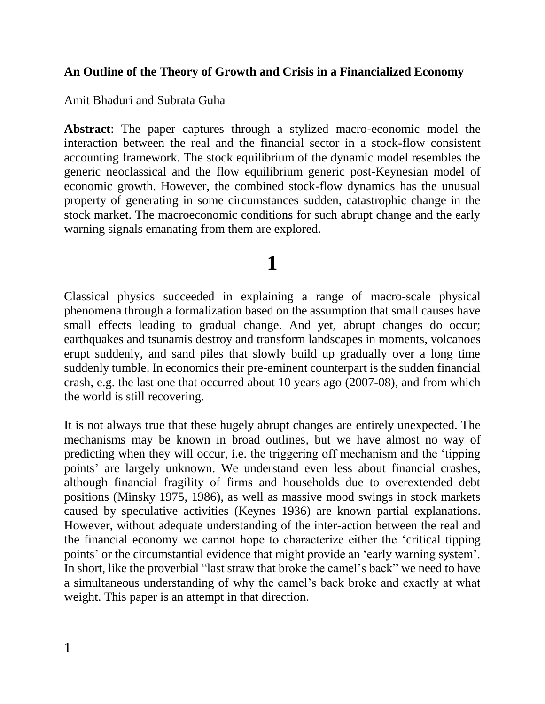### **An Outline of the Theory of Growth and Crisis in a Financialized Economy**

Amit Bhaduri and Subrata Guha

**Abstract**: The paper captures through a stylized macro-economic model the interaction between the real and the financial sector in a stock-flow consistent accounting framework. The stock equilibrium of the dynamic model resembles the generic neoclassical and the flow equilibrium generic post-Keynesian model of economic growth. However, the combined stock-flow dynamics has the unusual property of generating in some circumstances sudden, catastrophic change in the stock market. The macroeconomic conditions for such abrupt change and the early warning signals emanating from them are explored.

# **1**

Classical physics succeeded in explaining a range of macro-scale physical phenomena through a formalization based on the assumption that small causes have small effects leading to gradual change. And yet, abrupt changes do occur; earthquakes and tsunamis destroy and transform landscapes in moments, volcanoes erupt suddenly, and sand piles that slowly build up gradually over a long time suddenly tumble. In economics their pre-eminent counterpart is the sudden financial crash, e.g. the last one that occurred about 10 years ago (2007-08), and from which the world is still recovering.

It is not always true that these hugely abrupt changes are entirely unexpected. The mechanisms may be known in broad outlines, but we have almost no way of predicting when they will occur, i.e. the triggering off mechanism and the 'tipping points' are largely unknown. We understand even less about financial crashes, although financial fragility of firms and households due to overextended debt positions (Minsky 1975, 1986), as well as massive mood swings in stock markets caused by speculative activities (Keynes 1936) are known partial explanations. However, without adequate understanding of the inter-action between the real and the financial economy we cannot hope to characterize either the 'critical tipping points' or the circumstantial evidence that might provide an 'early warning system'. In short, like the proverbial "last straw that broke the camel's back" we need to have a simultaneous understanding of why the camel's back broke and exactly at what weight. This paper is an attempt in that direction.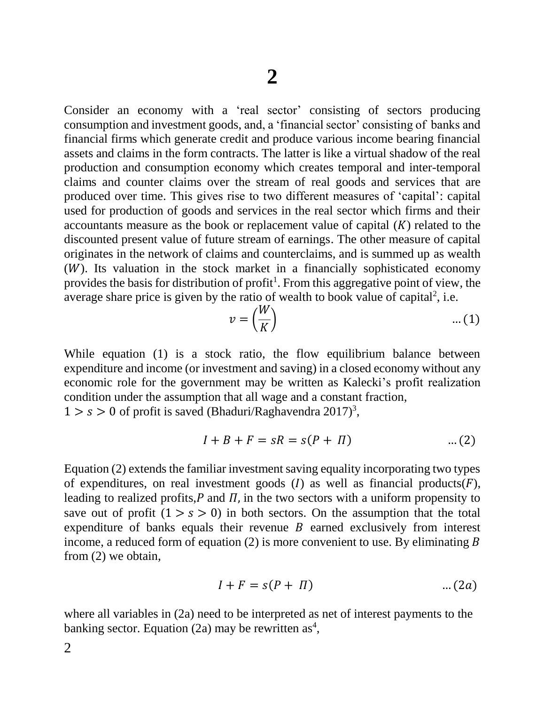Consider an economy with a 'real sector' consisting of sectors producing consumption and investment goods, and, a 'financial sector' consisting of banks and financial firms which generate credit and produce various income bearing financial assets and claims in the form contracts. The latter is like a virtual shadow of the real production and consumption economy which creates temporal and inter-temporal claims and counter claims over the stream of real goods and services that are produced over time. This gives rise to two different measures of 'capital': capital used for production of goods and services in the real sector which firms and their accountants measure as the book or replacement value of capital  $(K)$  related to the discounted present value of future stream of earnings. The other measure of capital originates in the network of claims and counterclaims, and is summed up as wealth  $(W)$ . Its valuation in the stock market in a financially sophisticated economy provides the basis for distribution of profit<sup>1</sup>. From this aggregative point of view, the average share price is given by the ratio of wealth to book value of capital<sup>2</sup>, i.e.

$$
v = \left(\frac{W}{K}\right) \tag{1}
$$

While equation (1) is a stock ratio, the flow equilibrium balance between expenditure and income (or investment and saving) in a closed economy without any economic role for the government may be written as Kalecki's profit realization condition under the assumption that all wage and a constant fraction,

 $1 > s > 0$  of profit is saved (Bhaduri/Raghavendra 2017)<sup>3</sup>,

$$
I + B + F = sR = s(P + \Pi) \tag{2}
$$

Equation (2) extends the familiar investment saving equality incorporating two types of expenditures, on real investment goods  $(I)$  as well as financial products $(F)$ , leading to realized profits,  $P$  and  $\Pi$ , in the two sectors with a uniform propensity to save out of profit  $(1 > s > 0)$  in both sectors. On the assumption that the total expenditure of banks equals their revenue  $B$  earned exclusively from interest income, a reduced form of equation  $(2)$  is more convenient to use. By eliminating B from (2) we obtain,

$$
I + F = s(P + \Pi) \tag{2a}
$$

where all variables in (2a) need to be interpreted as net of interest payments to the banking sector. Equation (2a) may be rewritten as<sup>4</sup>,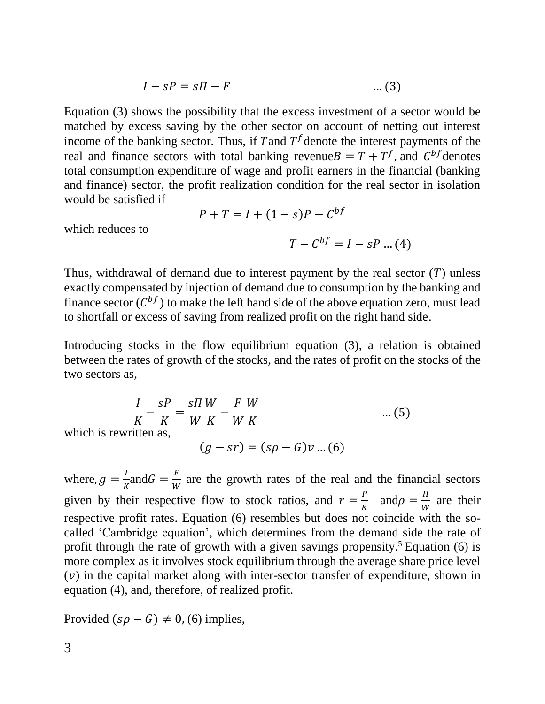$$
I - sP = s\Pi - F \tag{3}
$$

Equation (3) shows the possibility that the excess investment of a sector would be matched by excess saving by the other sector on account of netting out interest income of the banking sector. Thus, if T and  $T<sup>f</sup>$  denote the interest payments of the real and finance sectors with total banking revenue  $B = T + T<sup>f</sup>$ , and  $C<sup>bf</sup>$  denotes total consumption expenditure of wage and profit earners in the financial (banking and finance) sector, the profit realization condition for the real sector in isolation would be satisfied if

$$
P+T = I + (1-s)P + C^{bf}
$$

which reduces to

$$
T - C^{bf} = I - sP \dots (4)
$$

Thus, withdrawal of demand due to interest payment by the real sector  $(T)$  unless exactly compensated by injection of demand due to consumption by the banking and finance sector  $(C^{bf})$  to make the left hand side of the above equation zero, must lead to shortfall or excess of saving from realized profit on the right hand side.

Introducing stocks in the flow equilibrium equation (3), a relation is obtained between the rates of growth of the stocks, and the rates of profit on the stocks of the two sectors as,

$$
\frac{I}{K} - \frac{sP}{K} = \frac{sH}{W} \frac{W}{K} - \frac{F}{W} \frac{W}{K}
$$
\n
$$
\text{ritten as,}
$$
\n
$$
(g - sr) = (s\rho - G)v \dots (6)
$$

which is rewi

where,  $g = \frac{I}{v}$  $\frac{I}{K}$ and $G = \frac{F}{W}$  $\frac{F}{W}$  are the growth rates of the real and the financial sectors given by their respective flow to stock ratios, and  $r = \frac{P}{V}$  $\frac{P}{K}$  and  $\rho = \frac{\pi}{W}$  $\frac{u}{W}$  are their respective profit rates. Equation (6) resembles but does not coincide with the socalled 'Cambridge equation', which determines from the demand side the rate of profit through the rate of growth with a given savings propensity.<sup>5</sup> Equation (6) is more complex as it involves stock equilibrium through the average share price level  $(v)$  in the capital market along with inter-sector transfer of expenditure, shown in equation (4), and, therefore, of realized profit.

Provided  $(s\rho - G) \neq 0$ , (6) implies,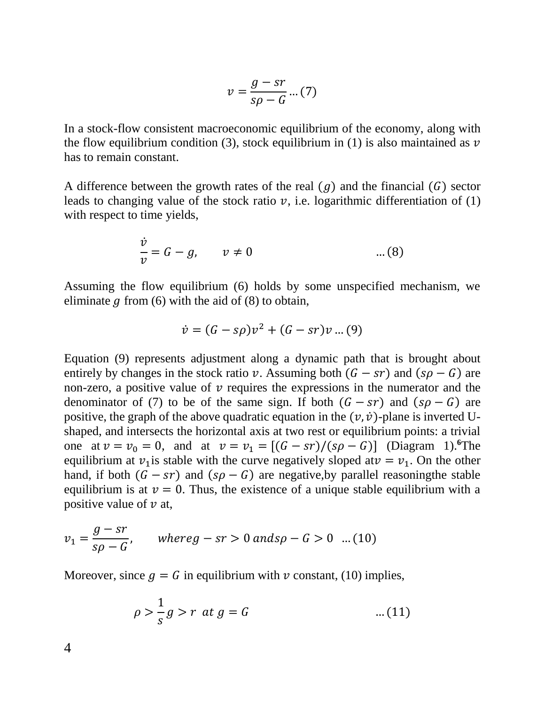$$
v = \frac{g - sr}{s\rho - G} \dots (7)
$$

In a stock-flow consistent macroeconomic equilibrium of the economy, along with the flow equilibrium condition (3), stock equilibrium in (1) is also maintained as  $\nu$ has to remain constant.

A difference between the growth rates of the real  $(g)$  and the financial  $(G)$  sector leads to changing value of the stock ratio  $\nu$ , i.e. logarithmic differentiation of (1) with respect to time yields,

$$
\frac{\dot{v}}{v} = G - g, \qquad v \neq 0 \qquad \qquad \dots (8)
$$

Assuming the flow equilibrium (6) holds by some unspecified mechanism, we eliminate  $g$  from (6) with the aid of (8) to obtain,

$$
\dot{v} = (G - s\rho)v^{2} + (G - sr)v ... (9)
$$

Equation (9) represents adjustment along a dynamic path that is brought about entirely by changes in the stock ratio v. Assuming both  $(G - sr)$  and  $(sp - G)$  are non-zero, a positive value of  $\nu$  requires the expressions in the numerator and the denominator of (7) to be of the same sign. If both  $(G - sr)$  and  $(sp - G)$  are positive, the graph of the above quadratic equation in the  $(v, \dot{v})$ -plane is inverted Ushaped, and intersects the horizontal axis at two rest or equilibrium points: a trivial one at  $v = v_0 = 0$ , and at  $v = v_1 = [(G - sr)/(s\rho - G)]$  (Diagram 1).<sup>6</sup>The equilibrium at  $v_1$  is stable with the curve negatively sloped at  $v = v_1$ . On the other hand, if both  $(G - sr)$  and  $(sp - G)$  are negative, by parallel reasoning the stable equilibrium is at  $v = 0$ . Thus, the existence of a unique stable equilibrium with a positive value of  $\nu$  at,

$$
v_1 = \frac{g - sr}{s\rho - G}
$$
, where  $g - sr > 0$  and  $s\rho - G > 0$  ... (10)

Moreover, since  $g = G$  in equilibrium with  $\nu$  constant, (10) implies,

$$
\rho > \frac{1}{s}g > r \text{ at } g = G \tag{11}
$$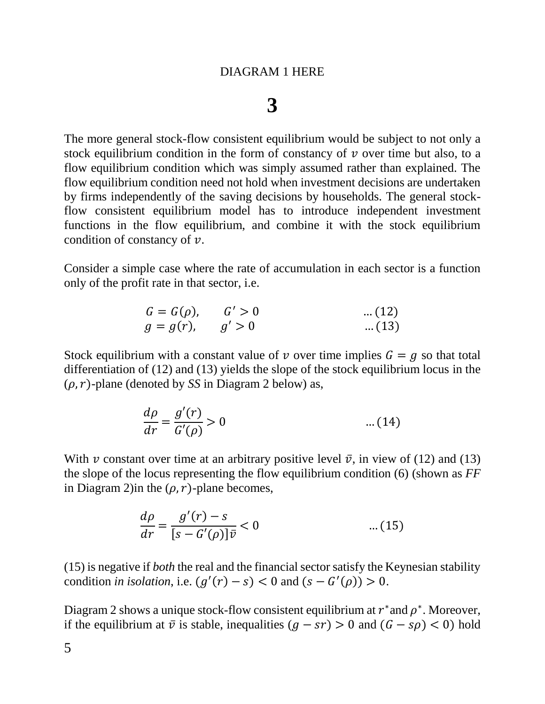## **3**

The more general stock-flow consistent equilibrium would be subject to not only a stock equilibrium condition in the form of constancy of  $\nu$  over time but also, to a flow equilibrium condition which was simply assumed rather than explained. The flow equilibrium condition need not hold when investment decisions are undertaken by firms independently of the saving decisions by households. The general stockflow consistent equilibrium model has to introduce independent investment functions in the flow equilibrium, and combine it with the stock equilibrium condition of constancy of  $\nu$ .

Consider a simple case where the rate of accumulation in each sector is a function only of the profit rate in that sector, i.e.

 = (), ′ > 0 … (12) = (), ′ > 0 … (13)

Stock equilibrium with a constant value of v over time implies  $G = g$  so that total differentiation of (12) and (13) yields the slope of the stock equilibrium locus in the  $(\rho, r)$ -plane (denoted by *SS* in Diagram 2 below) as,

$$
\frac{d\rho}{dr} = \frac{g'(r)}{G'(\rho)} > 0 \tag{14}
$$

With v constant over time at an arbitrary positive level  $\bar{v}$ , in view of (12) and (13) the slope of the locus representing the flow equilibrium condition (6) (shown as *FF* in Diagram 2) in the  $(\rho, r)$ -plane becomes,

$$
\frac{d\rho}{dr} = \frac{g'(r) - s}{[s - G'(\rho)]\bar{v}} < 0 \qquad \qquad \dots (15)
$$

(15) is negative if *both* the real and the financial sector satisfy the Keynesian stability condition *in isolation*, i.e.  $(g'(r) - s) < 0$  and  $(s - G'(\rho)) > 0$ .

Diagram 2 shows a unique stock-flow consistent equilibrium at  $r^*$  and  $\rho^*$ . Moreover, if the equilibrium at  $\bar{v}$  is stable, inequalities  $(g - sr) > 0$  and  $(G - sp) < 0$ ) hold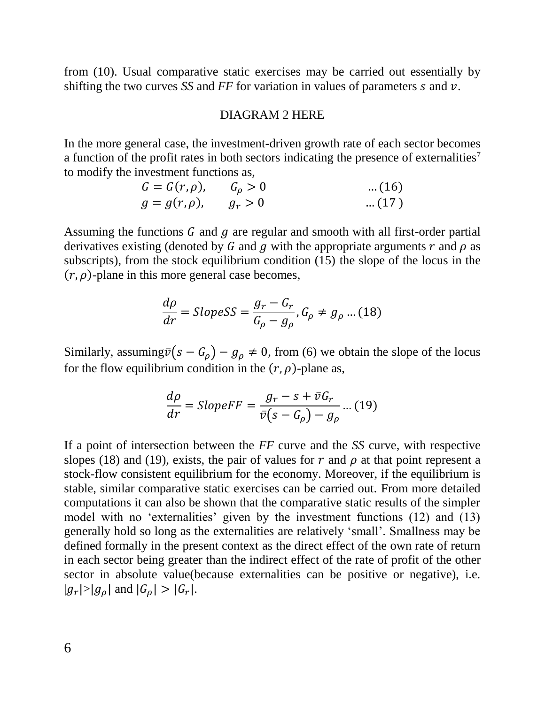from (10). Usual comparative static exercises may be carried out essentially by shifting the two curves *SS* and *FF* for variation in values of parameters  $s$  and  $v$ .

#### DIAGRAM 2 HERE

In the more general case, the investment-driven growth rate of each sector becomes a function of the profit rates in both sectors indicating the presence of externalities<sup>7</sup> to modify the investment functions as,

$$
G = G(r, \rho), \t G_{\rho} > 0 \t ... (16)
$$
  
 
$$
g = g(r, \rho), \t g_r > 0 \t ... (17)
$$

Assuming the functions  $G$  and  $g$  are regular and smooth with all first-order partial derivatives existing (denoted by G and  $g$  with the appropriate arguments  $r$  and  $\rho$  as subscripts), from the stock equilibrium condition (15) the slope of the locus in the  $(r, \rho)$ -plane in this more general case becomes,

$$
\frac{d\rho}{dr} = SlopesS = \frac{g_r - G_r}{G_\rho - g_\rho}, G_\rho \neq g_\rho \dots (18)
$$

Similarly, assuming  $\bar{v}(s - G_{\rho}) - g_{\rho} \neq 0$ , from (6) we obtain the slope of the locus for the flow equilibrium condition in the  $(r, \rho)$ -plane as,

$$
\frac{d\rho}{dr} = SlopeFF = \frac{g_r - s + \bar{v}G_r}{\bar{v}(s - G_\rho) - g_\rho} \dots (19)
$$

If a point of intersection between the *FF* curve and the *SS* curve, with respective slopes (18) and (19), exists, the pair of values for  $r$  and  $\rho$  at that point represent a stock-flow consistent equilibrium for the economy. Moreover, if the equilibrium is stable, similar comparative static exercises can be carried out. From more detailed computations it can also be shown that the comparative static results of the simpler model with no 'externalities' given by the investment functions (12) and (13) generally hold so long as the externalities are relatively 'small'. Smallness may be defined formally in the present context as the direct effect of the own rate of return in each sector being greater than the indirect effect of the rate of profit of the other sector in absolute value(because externalities can be positive or negative), i.e.  $|g_r|>|g_\rho|$  and  $|G_\rho|>|G_r|$ .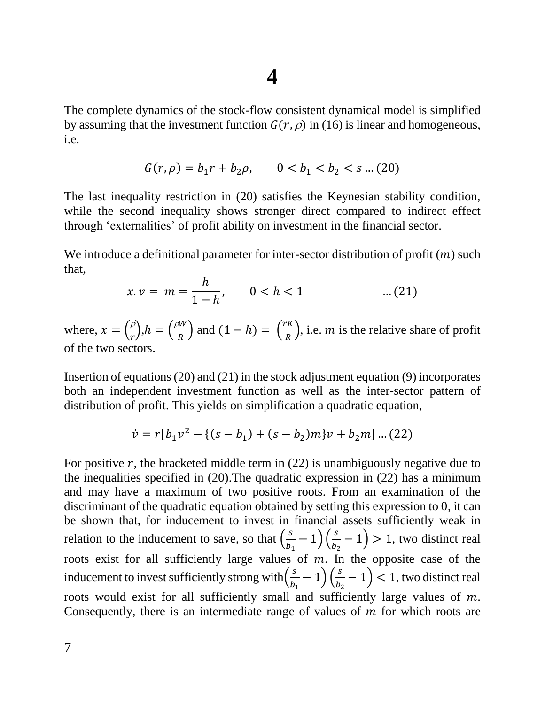## **4**

The complete dynamics of the stock-flow consistent dynamical model is simplified by assuming that the investment function  $G(r, \rho)$  in (16) is linear and homogeneous, i.e.

$$
G(r, \rho) = b_1 r + b_2 \rho, \qquad 0 < b_1 < b_2 < s \dots (20)
$$

The last inequality restriction in (20) satisfies the Keynesian stability condition, while the second inequality shows stronger direct compared to indirect effect through 'externalities' of profit ability on investment in the financial sector.

We introduce a definitional parameter for inter-sector distribution of profit  $(m)$  such that,

$$
x. v = m = \frac{h}{1 - h}, \qquad 0 < h < 1 \tag{21}
$$

where,  $x = \left(\frac{\rho}{x}\right)$  $\binom{\rho}{r}, h = \left(\frac{\rho W}{R}\right)$  $\left(\frac{w}{R}\right)$  and  $(1-h) = \left(\frac{rK}{R}\right)$  $\frac{R}{R}$ , i.e. *m* is the relative share of profit of the two sectors.

Insertion of equations (20) and (21) in the stock adjustment equation (9) incorporates both an independent investment function as well as the inter-sector pattern of distribution of profit. This yields on simplification a quadratic equation,

$$
\dot{v} = r[b_1v^2 - \{(s - b_1) + (s - b_2)m\}v + b_2m] \dots (22)
$$

For positive  $r$ , the bracketed middle term in (22) is unambiguously negative due to the inequalities specified in (20).The quadratic expression in (22) has a minimum and may have a maximum of two positive roots. From an examination of the discriminant of the quadratic equation obtained by setting this expression to 0, it can be shown that, for inducement to invest in financial assets sufficiently weak in relation to the inducement to save, so that  $\left(\frac{s}{b}\right)$  $\frac{s}{b_1} - 1) \left(\frac{s}{b_2}\right)$  $\left(\frac{5}{b_2}-1\right)$  > 1, two distinct real roots exist for all sufficiently large values of  $m$ . In the opposite case of the inducement to invest sufficiently strong with $\left(\frac{s}{b}\right)$  $\frac{s}{b_1} - 1) \left(\frac{s}{b_2}\right)$  $\left(\frac{3}{b_2}-1\right)$  < 1, two distinct real roots would exist for all sufficiently small and sufficiently large values of  $m$ . Consequently, there is an intermediate range of values of  $m$  for which roots are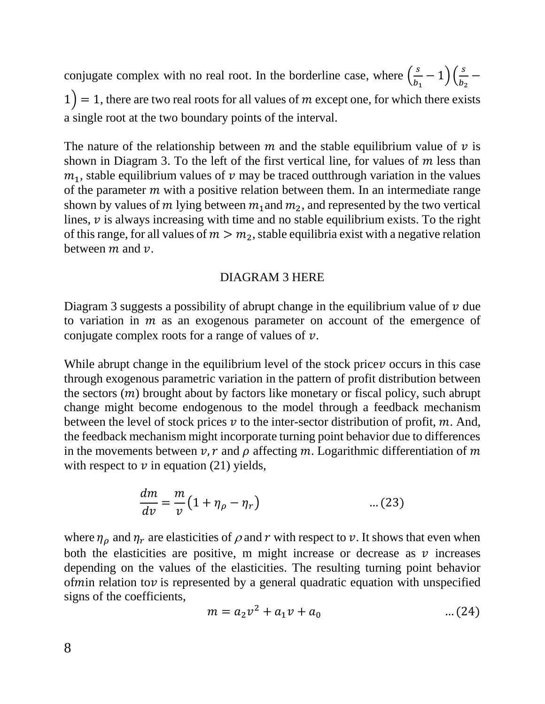conjugate complex with no real root. In the borderline case, where  $\left(\frac{s}{b}\right)$  $\frac{s}{b_1} - 1$ ) $\left(\frac{s}{b_2}\right)$  $\frac{b}{b_2}$  –  $1$ ) = 1, there are two real roots for all values of m except one, for which there exists a single root at the two boundary points of the interval.

The nature of the relationship between  $m$  and the stable equilibrium value of  $\nu$  is shown in Diagram 3. To the left of the first vertical line, for values of  $m$  less than  $m_1$ , stable equilibrium values of  $\nu$  may be traced outthrough variation in the values of the parameter  *with a positive relation between them. In an intermediate range* shown by values of m lying between  $m_1$  and  $m_2$ , and represented by the two vertical lines,  $\nu$  is always increasing with time and no stable equilibrium exists. To the right of this range, for all values of  $m > m_2$ , stable equilibria exist with a negative relation between  $m$  and  $\nu$ .

### DIAGRAM 3 HERE

Diagram 3 suggests a possibility of abrupt change in the equilibrium value of  $\nu$  due to variation in  $m$  as an exogenous parameter on account of the emergence of conjugate complex roots for a range of values of  $\nu$ .

While abrupt change in the equilibrium level of the stock price *v* occurs in this case through exogenous parametric variation in the pattern of profit distribution between the sectors  $(m)$  brought about by factors like monetary or fiscal policy, such abrupt change might become endogenous to the model through a feedback mechanism between the level of stock prices  $v$  to the inter-sector distribution of profit,  $m$ . And, the feedback mechanism might incorporate turning point behavior due to differences in the movements between  $v, r$  and  $\rho$  affecting m. Logarithmic differentiation of m with respect to  $\nu$  in equation (21) yields,

$$
\frac{dm}{dv} = \frac{m}{v} \left( 1 + \eta_{\rho} - \eta_{r} \right) \tag{23}
$$

where  $\eta_{\rho}$  and  $\eta_{r}$  are elasticities of  $\rho$  and  $r$  with respect to  $v$ . It shows that even when both the elasticities are positive, m might increase or decrease as  $\nu$  increases depending on the values of the elasticities. The resulting turning point behavior of *m*in relation to *v* is represented by a general quadratic equation with unspecified signs of the coefficients,

$$
m = a_2 v^2 + a_1 v + a_0 \tag{24}
$$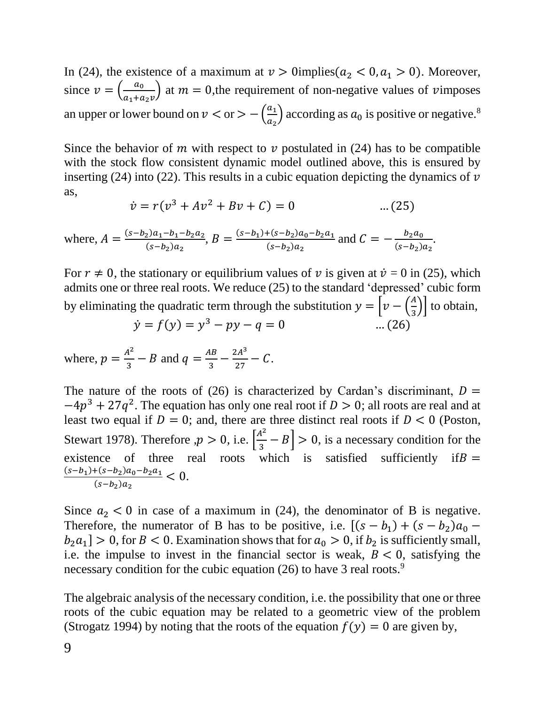In (24), the existence of a maximum at  $v > 0$ implies( $a_2 < 0, a_1 > 0$ ). Moreover, since  $v = \left(\frac{a_0}{a_0}\right)^2$  $\frac{a_0}{a_1 + a_2 v}$  at  $m = 0$ , the requirement of non-negative values of vimposes an upper or lower bound on  $v < or > -\left(\frac{a_1}{a_2}\right)$  $\left(\frac{a_1}{a_2}\right)$  according as  $a_0$  is positive or negative.<sup>8</sup>

Since the behavior of m with respect to  $\nu$  postulated in (24) has to be compatible with the stock flow consistent dynamic model outlined above, this is ensured by inserting (24) into (22). This results in a cubic equation depicting the dynamics of  $\nu$ as,

$$
\dot{v} = r(v^3 + Av^2 + Bv + C) = 0 \tag{25}
$$

where,  $A = \frac{(s-b_2)a_1-b_1-b_2a_2}{(s-b_1)a_2}$  $\frac{(a_1-b_1-b_2a_2)}{(s-b_2)a_2}$ ,  $B = \frac{(s-b_1)+(s-b_2)a_0-b_2a_1}{(s-b_2)a_2}$  $\frac{+(s-b_2)a_0-b_2a_1}{(s-b_2)a_2}$  and  $C = -\frac{b_2a_0}{(s-b_2)}$  $(s - b_2)a_2$ .

For  $r \neq 0$ , the stationary or equilibrium values of v is given at  $\dot{v} = 0$  in (25), which admits one or three real roots. We reduce (25) to the standard 'depressed' cubic form by eliminating the quadratic term through the substitution  $y = \left[ v - \left( \frac{A}{v} \right)^2 \right]$  $\left(\frac{a}{3}\right)$  to obtain,  $\dot{y} = f(y) = y^3 - py - q = 0$  ... (26)

$$
y - f(y) - y - py - q = 0
$$

where,  $p = \frac{A^2}{2}$  $\frac{A^2}{3} - B$  and  $q = \frac{AB}{3}$  $\frac{AB}{3} - \frac{2A^3}{27}$  $\frac{2A}{27} - C$ .

The nature of the roots of (26) is characterized by Cardan's discriminant,  $D =$  $-4p^3 + 27q^2$ . The equation has only one real root if  $D > 0$ ; all roots are real and at least two equal if  $D = 0$ ; and, there are three distinct real roots if  $D < 0$  (Poston, Stewart 1978). Therefore  $p > 0$ , i.e.  $\left[\frac{A^2}{2}\right]$  $\left[\frac{4}{3} - B\right] > 0$ , is a necessary condition for the existence of three real roots which is satisfied sufficiently if  $B =$  $(s-b_1)+(s-b_2)a_0-b_2a_1$  $\frac{(-1)^{k(s-p_2)a_0-b_2a_1}}{(s-b_2)a_2} < 0.$ 

Since  $a_2 < 0$  in case of a maximum in (24), the denominator of B is negative. Therefore, the numerator of B has to be positive, i.e.  $[(s - b_1) + (s - b_2)a_0$  $b_2 a_1$  > 0, for  $B < 0$ . Examination shows that for  $a_0 > 0$ , if  $b_2$  is sufficiently small, i.e. the impulse to invest in the financial sector is weak,  $B < 0$ , satisfying the necessary condition for the cubic equation (26) to have 3 real roots.<sup>9</sup>

The algebraic analysis of the necessary condition, i.e. the possibility that one or three roots of the cubic equation may be related to a geometric view of the problem (Strogatz 1994) by noting that the roots of the equation  $f(y) = 0$  are given by,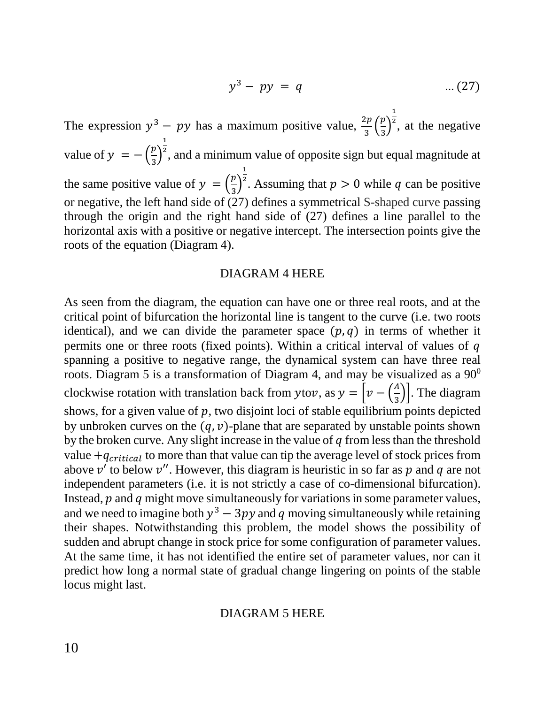$$
y^3 - py = q \qquad \qquad \dots (27)
$$

The expression  $y^3 - py$  has a maximum positive value,  $\frac{2p}{3} \left( \frac{p}{3} \right)$  $\frac{\mu}{3}$ 1  $2$ , at the negative value of  $y = -\left(\frac{p}{2}\right)$  $\frac{\mu}{3}$ 1 <sup>2</sup>, and a minimum value of opposite sign but equal magnitude at the same positive value of  $y = \left(\frac{p}{q}\right)^n$  $\frac{\mu}{3}$ 1 <sup>2</sup>. Assuming that  $p > 0$  while q can be positive or negative, the left hand side of (27) defines a symmetrical S-shaped curve passing through the origin and the right hand side of (27) defines a line parallel to the horizontal axis with a positive or negative intercept. The intersection points give the roots of the equation (Diagram 4).

#### DIAGRAM 4 HERE

As seen from the diagram, the equation can have one or three real roots, and at the critical point of bifurcation the horizontal line is tangent to the curve (i.e. two roots identical), and we can divide the parameter space  $(p, q)$  in terms of whether it permits one or three roots (fixed points). Within a critical interval of values of  $q$ spanning a positive to negative range, the dynamical system can have three real roots. Diagram 5 is a transformation of Diagram 4, and may be visualized as a  $90^0$ clockwise rotation with translation back from ytov, as  $y = \left[ v - \left( \frac{A}{v} \right)^2 \right]$  $\left(\frac{\pi}{3}\right)$ . The diagram shows, for a given value of  $p$ , two disjoint loci of stable equilibrium points depicted by unbroken curves on the  $(q, v)$ -plane that are separated by unstable points shown by the broken curve. Any slight increase in the value of  $q$  from less than the threshold value  $+q_{critical}$  to more than that value can tip the average level of stock prices from above  $v'$  to below  $v''$ . However, this diagram is heuristic in so far as p and q are not independent parameters (i.e. it is not strictly a case of co-dimensional bifurcation). Instead,  $p$  and  $q$  might move simultaneously for variations in some parameter values, and we need to imagine both  $y^3 - 3py$  and q moving simultaneously while retaining their shapes. Notwithstanding this problem, the model shows the possibility of sudden and abrupt change in stock price for some configuration of parameter values. At the same time, it has not identified the entire set of parameter values, nor can it predict how long a normal state of gradual change lingering on points of the stable locus might last.

#### DIAGRAM 5 HERE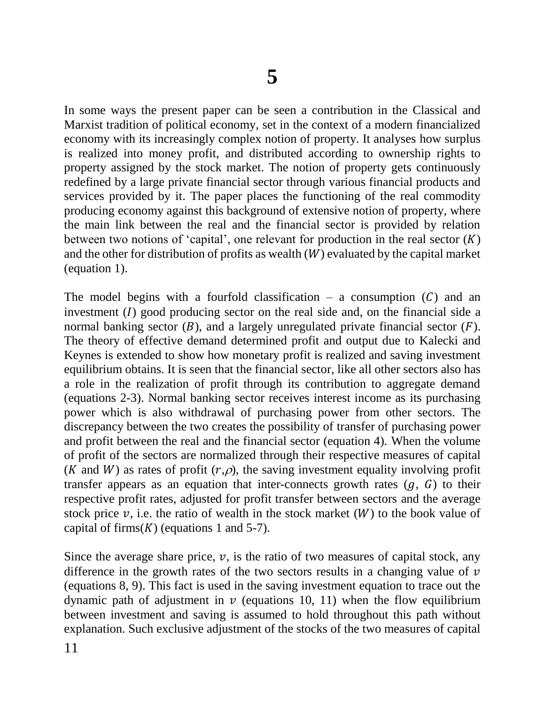In some ways the present paper can be seen a contribution in the Classical and Marxist tradition of political economy, set in the context of a modern financialized economy with its increasingly complex notion of property. It analyses how surplus is realized into money profit, and distributed according to ownership rights to property assigned by the stock market. The notion of property gets continuously redefined by a large private financial sector through various financial products and services provided by it. The paper places the functioning of the real commodity producing economy against this background of extensive notion of property, where the main link between the real and the financial sector is provided by relation between two notions of 'capital', one relevant for production in the real sector  $(K)$ and the other for distribution of profits as wealth  $(W)$  evaluated by the capital market (equation 1).

The model begins with a fourfold classification – a consumption  $(C)$  and an investment  $(I)$  good producing sector on the real side and, on the financial side a normal banking sector  $(B)$ , and a largely unregulated private financial sector  $(F)$ . The theory of effective demand determined profit and output due to Kalecki and Keynes is extended to show how monetary profit is realized and saving investment equilibrium obtains. It is seen that the financial sector, like all other sectors also has a role in the realization of profit through its contribution to aggregate demand (equations 2-3). Normal banking sector receives interest income as its purchasing power which is also withdrawal of purchasing power from other sectors. The discrepancy between the two creates the possibility of transfer of purchasing power and profit between the real and the financial sector (equation 4). When the volume of profit of the sectors are normalized through their respective measures of capital (*K* and *W*) as rates of profit  $(r,\rho)$ , the saving investment equality involving profit transfer appears as an equation that inter-connects growth rates  $(q, G)$  to their respective profit rates, adjusted for profit transfer between sectors and the average stock price  $\nu$ , i.e. the ratio of wealth in the stock market (W) to the book value of capital of firms( $K$ ) (equations 1 and 5-7).

Since the average share price,  $v$ , is the ratio of two measures of capital stock, any difference in the growth rates of the two sectors results in a changing value of  $\nu$ (equations 8, 9). This fact is used in the saving investment equation to trace out the dynamic path of adjustment in  $\nu$  (equations 10, 11) when the flow equilibrium between investment and saving is assumed to hold throughout this path without explanation. Such exclusive adjustment of the stocks of the two measures of capital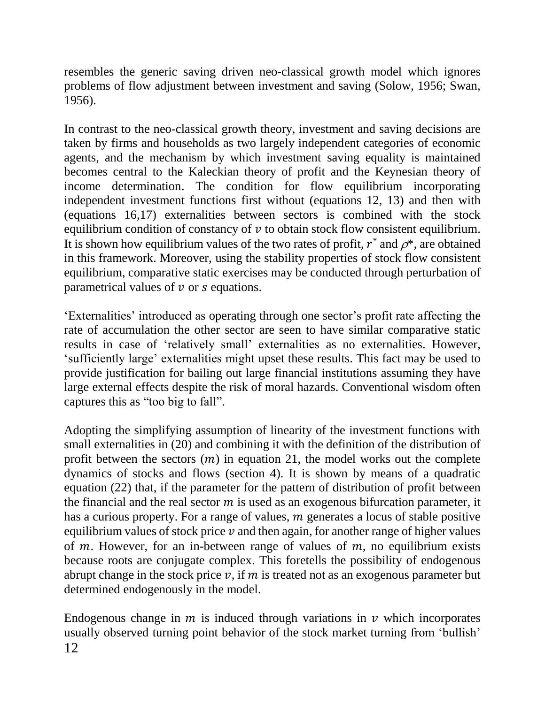resembles the generic saving driven neo-classical growth model which ignores problems of flow adjustment between investment and saving (Solow, 1956; Swan, 1956).

In contrast to the neo-classical growth theory, investment and saving decisions are taken by firms and households as two largely independent categories of economic agents, and the mechanism by which investment saving equality is maintained becomes central to the Kaleckian theory of profit and the Keynesian theory of income determination. The condition for flow equilibrium incorporating independent investment functions first without (equations 12, 13) and then with (equations 16,17) externalities between sectors is combined with the stock equilibrium condition of constancy of  $\nu$  to obtain stock flow consistent equilibrium. It is shown how equilibrium values of the two rates of profit,  $r^*$  and  $\rho^*$ , are obtained in this framework. Moreover, using the stability properties of stock flow consistent equilibrium, comparative static exercises may be conducted through perturbation of parametrical values of  $\nu$  or  $s$  equations.

'Externalities' introduced as operating through one sector's profit rate affecting the rate of accumulation the other sector are seen to have similar comparative static results in case of 'relatively small' externalities as no externalities. However, 'sufficiently large' externalities might upset these results. This fact may be used to provide justification for bailing out large financial institutions assuming they have large external effects despite the risk of moral hazards. Conventional wisdom often captures this as "too big to fall".

Adopting the simplifying assumption of linearity of the investment functions with small externalities in (20) and combining it with the definition of the distribution of profit between the sectors  $(m)$  in equation 21, the model works out the complete dynamics of stocks and flows (section 4). It is shown by means of a quadratic equation (22) that, if the parameter for the pattern of distribution of profit between the financial and the real sector  $m$  is used as an exogenous bifurcation parameter, it has a curious property. For a range of values,  $m$  generates a locus of stable positive equilibrium values of stock price  $\nu$  and then again, for another range of higher values of  $m$ . However, for an in-between range of values of  $m$ , no equilibrium exists because roots are conjugate complex. This foretells the possibility of endogenous abrupt change in the stock price  $v$ , if  $m$  is treated not as an exogenous parameter but determined endogenously in the model.

12 Endogenous change in  $m$  is induced through variations in  $\nu$  which incorporates usually observed turning point behavior of the stock market turning from 'bullish'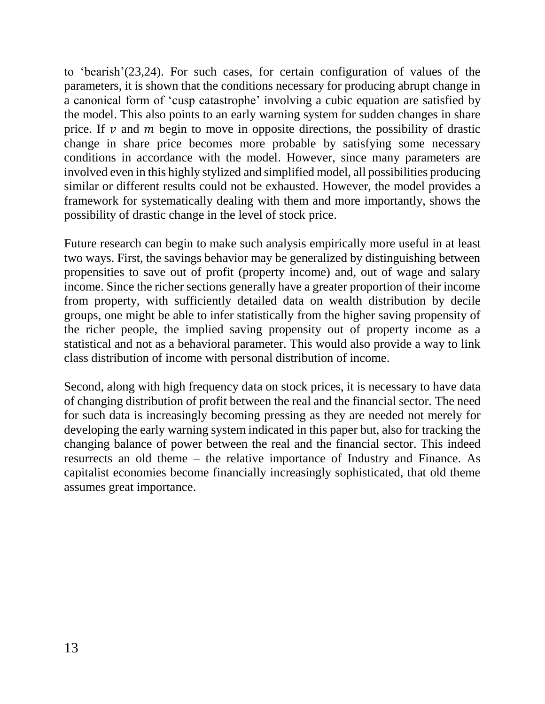to 'bearish'(23,24). For such cases, for certain configuration of values of the parameters, it is shown that the conditions necessary for producing abrupt change in a canonical form of 'cusp catastrophe' involving a cubic equation are satisfied by the model. This also points to an early warning system for sudden changes in share price. If  $\nu$  and  $m$  begin to move in opposite directions, the possibility of drastic change in share price becomes more probable by satisfying some necessary conditions in accordance with the model. However, since many parameters are involved even in this highly stylized and simplified model, all possibilities producing similar or different results could not be exhausted. However, the model provides a framework for systematically dealing with them and more importantly, shows the possibility of drastic change in the level of stock price.

Future research can begin to make such analysis empirically more useful in at least two ways. First, the savings behavior may be generalized by distinguishing between propensities to save out of profit (property income) and, out of wage and salary income. Since the richer sections generally have a greater proportion of their income from property, with sufficiently detailed data on wealth distribution by decile groups, one might be able to infer statistically from the higher saving propensity of the richer people, the implied saving propensity out of property income as a statistical and not as a behavioral parameter. This would also provide a way to link class distribution of income with personal distribution of income.

Second, along with high frequency data on stock prices, it is necessary to have data of changing distribution of profit between the real and the financial sector. The need for such data is increasingly becoming pressing as they are needed not merely for developing the early warning system indicated in this paper but, also for tracking the changing balance of power between the real and the financial sector. This indeed resurrects an old theme – the relative importance of Industry and Finance. As capitalist economies become financially increasingly sophisticated, that old theme assumes great importance.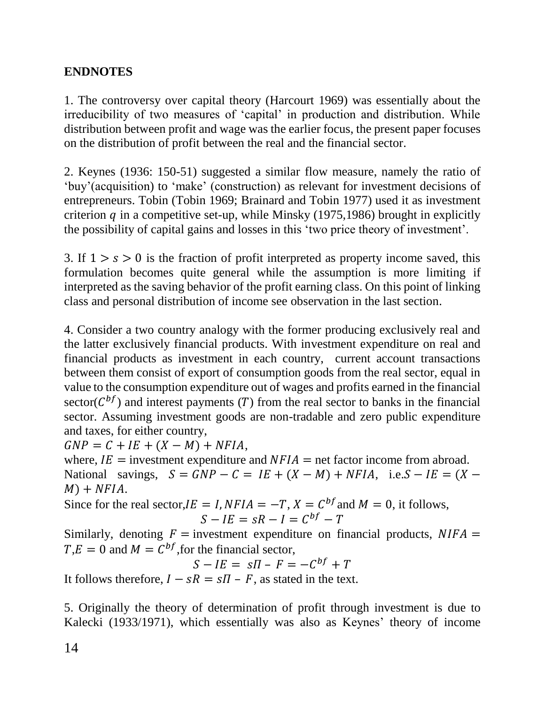## **ENDNOTES**

1. The controversy over capital theory (Harcourt 1969) was essentially about the irreducibility of two measures of 'capital' in production and distribution. While distribution between profit and wage was the earlier focus, the present paper focuses on the distribution of profit between the real and the financial sector.

2. Keynes (1936: 150-51) suggested a similar flow measure, namely the ratio of 'buy'(acquisition) to 'make' (construction) as relevant for investment decisions of entrepreneurs. Tobin (Tobin 1969; Brainard and Tobin 1977) used it as investment criterion  $q$  in a competitive set-up, while Minsky (1975,1986) brought in explicitly the possibility of capital gains and losses in this 'two price theory of investment'.

3. If  $1 > s > 0$  is the fraction of profit interpreted as property income saved, this formulation becomes quite general while the assumption is more limiting if interpreted as the saving behavior of the profit earning class. On this point of linking class and personal distribution of income see observation in the last section.

4. Consider a two country analogy with the former producing exclusively real and the latter exclusively financial products. With investment expenditure on real and financial products as investment in each country, current account transactions between them consist of export of consumption goods from the real sector, equal in value to the consumption expenditure out of wages and profits earned in the financial sector( $C^{bf}$ ) and interest payments (T) from the real sector to banks in the financial sector. Assuming investment goods are non-tradable and zero public expenditure and taxes, for either country,

 $GNP = C + IE + (X - M) + NFIA,$ 

where,  $IE =$  investment expenditure and  $NFIA =$  net factor income from abroad. National savings,  $S = GNP - C = IE + (X - M) + NFIA$ , i.e.  $S - IE = (X M$ ) + NFIA.

Since for the real sector,  $IE = I$ ,  $NFIA = -T$ ,  $X = C^{bf}$  and  $M = 0$ , it follows,  $S - I E = sR - I = C^{bf} - T$ 

Similarly, denoting  $F =$  investment expenditure on financial products,  $NIFA =$  $T,E = 0$  and  $M = C^{bf}$ , for the financial sector,

 $S - IE = SI - F = -C^{bf} + T$ 

It follows therefore,  $I - sR = sI - F$ , as stated in the text.

5. Originally the theory of determination of profit through investment is due to Kalecki (1933/1971), which essentially was also as Keynes' theory of income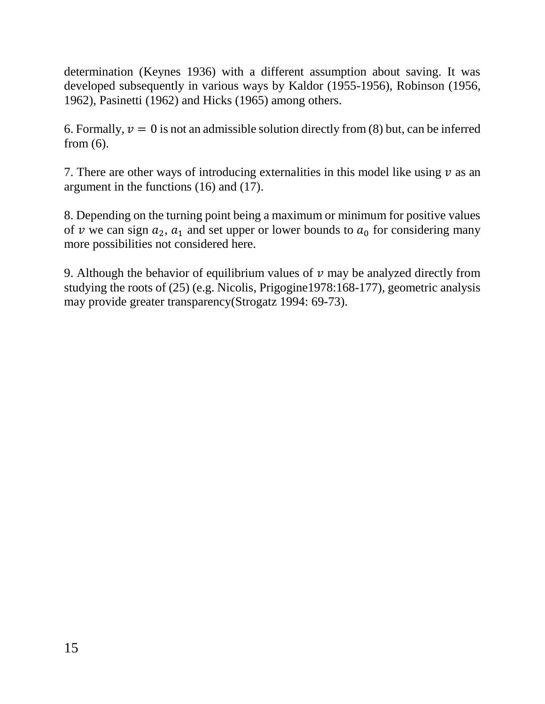determination (Keynes 1936) with a different assumption about saving. It was developed subsequently in various ways by Kaldor (1955-1956), Robinson (1956, 1962), Pasinetti (1962) and Hicks (1965) among others.

6. Formally,  $v = 0$  is not an admissible solution directly from (8) but, can be inferred from (6).

7. There are other ways of introducing externalities in this model like using  $\nu$  as an argument in the functions (16) and (17).

8. Depending on the turning point being a maximum or minimum for positive values of v we can sign  $a_2$ ,  $a_1$  and set upper or lower bounds to  $a_0$  for considering many more possibilities not considered here.

9. Although the behavior of equilibrium values of  $\nu$  may be analyzed directly from studying the roots of (25) (e.g. Nicolis, Prigogine1978:168-177), geometric analysis may provide greater transparency(Strogatz 1994: 69-73).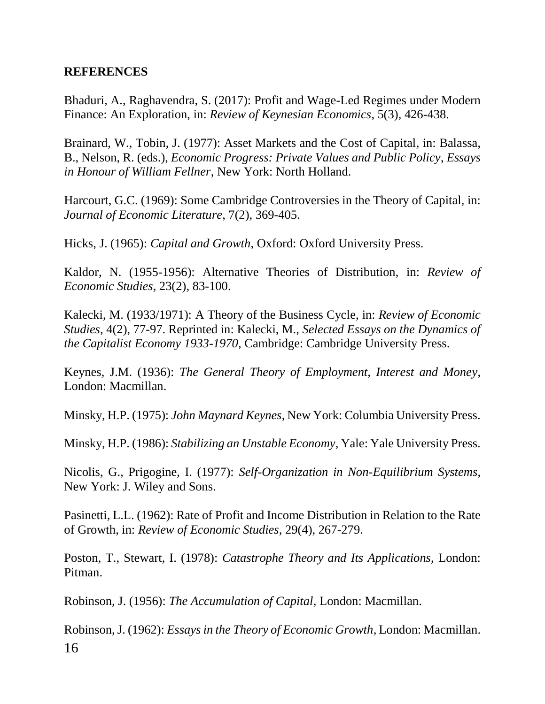### **REFERENCES**

Bhaduri, A., Raghavendra, S. (2017): Profit and Wage-Led Regimes under Modern Finance: An Exploration, in: *Review of Keynesian Economics*, 5(3), 426-438.

Brainard, W., Tobin, J. (1977): Asset Markets and the Cost of Capital, in: Balassa, B., Nelson, R. (eds.), *Economic Progress: Private Values and Public Policy*, *Essays in Honour of William Fellner*, New York: North Holland.

Harcourt, G.C. (1969): Some Cambridge Controversies in the Theory of Capital, in: *Journal of Economic Literature*, 7(2), 369-405.

Hicks, J. (1965): *Capital and Growth*, Oxford: Oxford University Press.

Kaldor, N. (1955-1956): Alternative Theories of Distribution, in: *Review of Economic Studies*, 23(2), 83-100.

Kalecki, M. (1933/1971): A Theory of the Business Cycle, in: *Review of Economic Studies*, 4(2), 77-97. Reprinted in: Kalecki, M., *Selected Essays on the Dynamics of the Capitalist Economy 1933-1970*, Cambridge: Cambridge University Press.

Keynes, J.M. (1936): *The General Theory of Employment, Interest and Money*, London: Macmillan.

Minsky, H.P. (1975): *John Maynard Keynes*, New York: Columbia University Press.

Minsky, H.P. (1986): *Stabilizing an Unstable Economy*, Yale: Yale University Press.

Nicolis, G., Prigogine, I. (1977): *Self-Organization in Non-Equilibrium Systems*, New York: J. Wiley and Sons.

Pasinetti, L.L. (1962): Rate of Profit and Income Distribution in Relation to the Rate of Growth, in: *Review of Economic Studies*, 29(4), 267-279.

Poston, T., Stewart, I. (1978): *Catastrophe Theory and Its Applications*, London: Pitman.

Robinson, J. (1956): *The Accumulation of Capital*, London: Macmillan.

16 Robinson, J. (1962): *Essays in the Theory of Economic Growth*, London: Macmillan.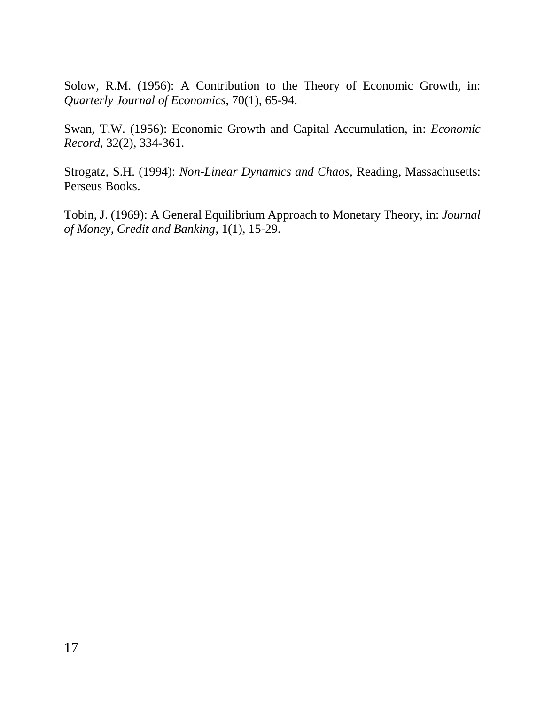Solow, R.M. (1956): A Contribution to the Theory of Economic Growth, in: *Quarterly Journal of Economics*, 70(1), 65-94.

Swan, T.W. (1956): Economic Growth and Capital Accumulation, in: *Economic Record*, 32(2), 334-361.

Strogatz, S.H. (1994): *Non-Linear Dynamics and Chaos*, Reading, Massachusetts: Perseus Books.

Tobin, J. (1969): A General Equilibrium Approach to Monetary Theory, in: *Journal of Money, Credit and Banking*, 1(1), 15-29.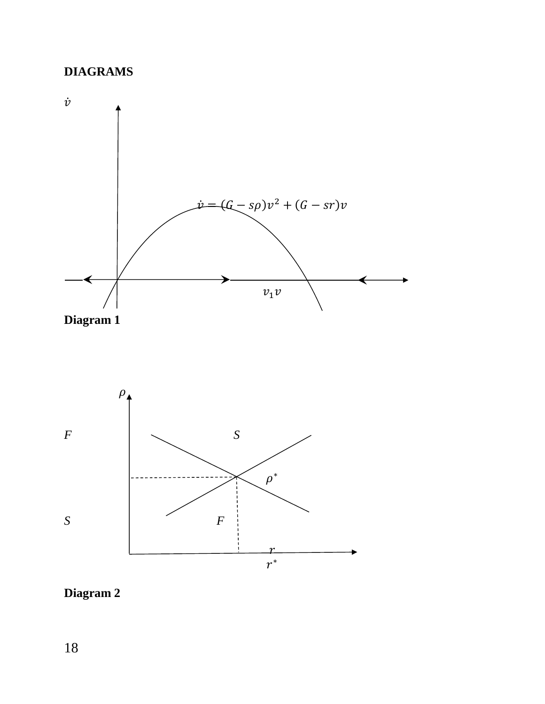## **DIAGRAMS**





## **Diagram 2**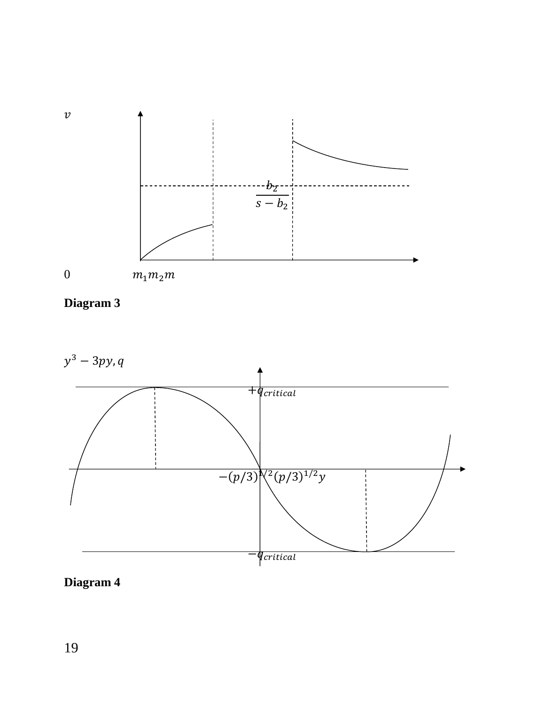





**Diagram 4**